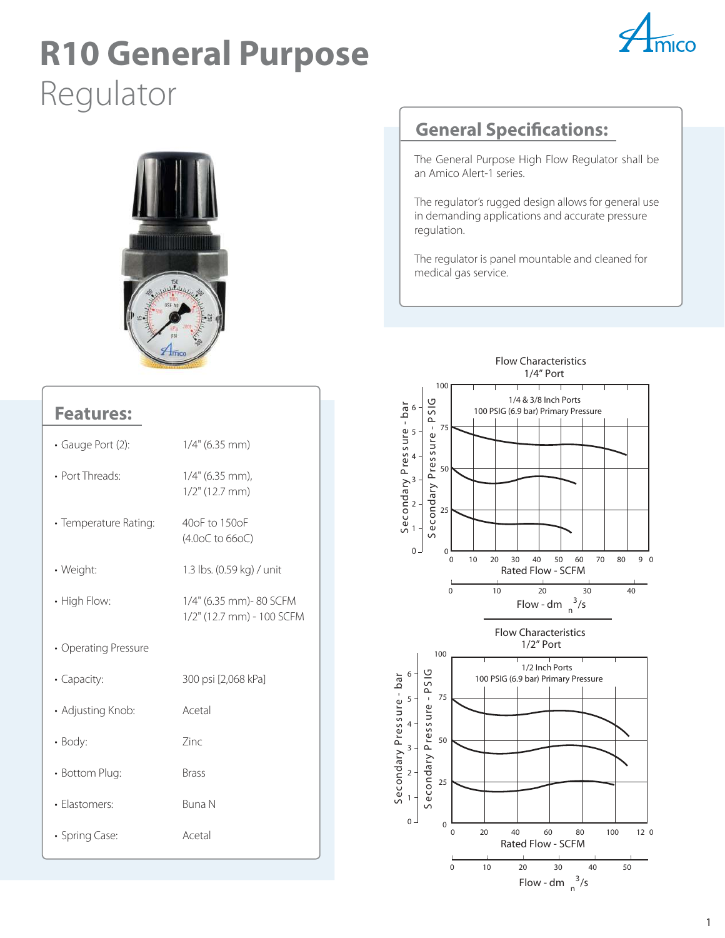# **R10 General Purpose** Regulator





#### **Features:**

| · Gauge Port (2):     | $1/4"$ (6.35 mm)                                    |
|-----------------------|-----------------------------------------------------|
| • Port Threads:       | 1/4" (6.35 mm),<br>$1/2$ " (12.7 mm)                |
| • Temperature Rating: | 40oF to 150oF<br>(4.00C to 660C)                    |
| • Weight:             | 1.3 lbs. (0.59 kg) / unit                           |
| • High Flow:          | 1/4" (6.35 mm)-80 SCFM<br>1/2" (12.7 mm) - 100 SCFM |
| • Operating Pressure  |                                                     |
| • Capacity:           | 300 psi [2,068 kPa]                                 |
| • Adjusting Knob:     | Acetal                                              |
| • Body:               | Zinc                                                |
| • Bottom Plug:        | <b>Brass</b>                                        |
| · Elastomers:         | <b>Buna N</b>                                       |
| · Spring Case:        | Acetal                                              |

### **General Specifications:**

The General Purpose High Flow Regulator shall be an Amico Alert-1 series.

The regulator's rugged design allows for general use in demanding applications and accurate pressure regulation.

The regulator is panel mountable and cleaned for medical gas service.